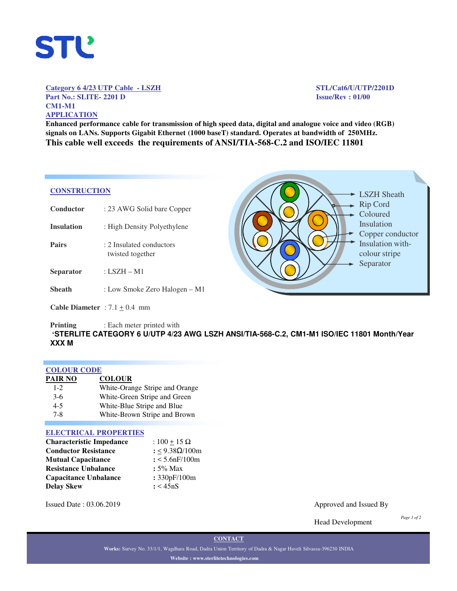

# **Category 6 4/23 UTP Cable - LSZH STL/Cat6/U/UTP/2201D Part No.: SLITE- 2201 D Issue/Rev : 01/00 CM1-M1 APPLICATION**

**Enhanced performance cable for transmission of high speed data, digital and analogue voice and video (RGB) signals on LANs. Supports Gigabit Ethernet (1000 baseT) standard. Operates at bandwidth of 250MHz. This cable well exceeds the requirements of ANSI/TIA-568-C.2 and ISO/IEC 11801**

## **CONSTRUCTION**

| Conductor                                | : 23 AWG Solid bare Copper                    |
|------------------------------------------|-----------------------------------------------|
| Insulation                               | : High Density Polyethylene                   |
| <b>Pairs</b>                             | : 2. Insulated conductors<br>twisted together |
| <b>Separator</b>                         | : LSZH – M1                                   |
| <b>Sheath</b>                            | : Low Smoke Zero Halogen – M1                 |
| <b>Cable Diameter</b> : $7.1 \pm 0.4$ mm |                                               |

**- LSZH Sheath** Rip Cord Coloured Insulation Copper conductor Insulation withcolour stripe Separator

### **Printing** : Each meter printed with **'STERLITE CATEGORY 6 U/UTP 4/23 AWG LSZH ANSI/TIA-568-C.2, CM1-M1 ISO/IEC 11801 Month/Year XXX M**

| <b>COLOUR CODE</b> |                                |
|--------------------|--------------------------------|
| PAIR NO            | <b>COLOUR</b>                  |
| $1 - 2$            | White-Orange Stripe and Orange |
| $3-6$              | White-Green Stripe and Green   |
| $4 - 5$            | White-Blue Stripe and Blue     |
| $7 - 8$            | White-Brown Stripe and Brown   |

# **ELECTRICAL PROPERTIES**

| <b>Characteristic Impedance</b> | : $100 + 15 \Omega$   |  |  |
|---------------------------------|-----------------------|--|--|
| <b>Conductor Resistance</b>     | : < $9.38\Omega/100m$ |  |  |
| <b>Mutual Capacitance</b>       | $: < 5.6$ n $F/100$ m |  |  |
| <b>Resistance Unbalance</b>     | $: 5\%$ Max           |  |  |
| <b>Capacitance Unbalance</b>    | : 330pF/100m          |  |  |
| <b>Delay Skew</b>               | : < 45nS              |  |  |

Issued Date : 03.06.2019 Approved and Issued By

Head Development

*Page 1 of 2*

**CONTACT**

**Works:** Survey No. 33/1/1, Wagdhara Road, Dadra Union Territory of Dadra & Nagar Haveli Silvassa-396230 INDIA **Website : www.sterlitetechnologies.com**